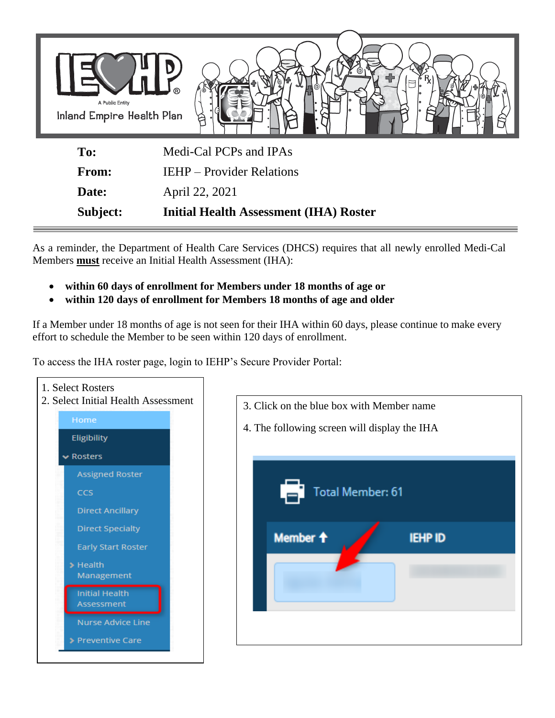

As a reminder, the Department of Health Care Services (DHCS) requires that all newly enrolled Medi-Cal Members **must** receive an Initial Health Assessment (IHA):

- **within 60 days of enrollment for Members under 18 months of age or**
- **within 120 days of enrollment for Members 18 months of age and older**

If a Member under 18 months of age is not seen for their IHA within 60 days, please continue to make every effort to schedule the Member to be seen within 120 days of enrollment.

To access the IHA roster page, login to IEHP's Secure Provider Portal: